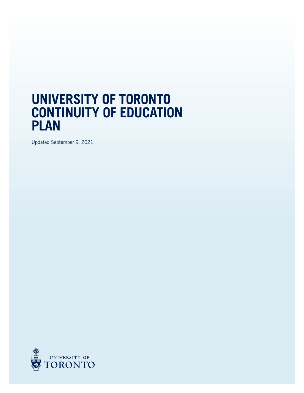## **UNIVERSITY OF TORONTO CONTINUITY OF EDUCATION PLAN**

Updated September 9, 2021

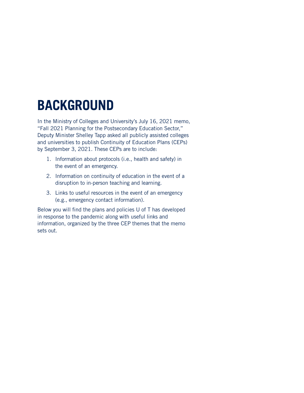# **BACKGROUND**

In the Ministry of Colleges and University's July 16, 2021 memo, "Fall 2021 Planning for the Postsecondary Education Sector," Deputy Minister Shelley Tapp asked all publicly assisted colleges and universities to publish Continuity of Education Plans (CEPs) by September 3, 2021. These CEPs are to include:

- 1. Information about protocols (i.e., health and safety) in the event of an emergency.
- 2. Information on continuity of education in the event of a disruption to in-person teaching and learning.
- 3. Links to useful resources in the event of an emergency (e.g., emergency contact information).

Below you will find the plans and policies U of T has developed in response to the pandemic along with useful links and information, organized by the three CEP themes that the memo sets out.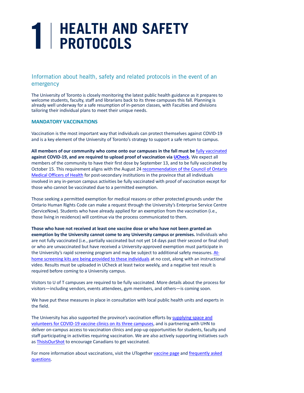# **1 HEALTH AND SAFETY PROTOCOLS**

### Information about health, safety and related protocols in the event of an emergency

The University of Toronto is closely monitoring the latest public health guidance as it prepares to welcome students, faculty, staff and librarians back to its three campuses this fall. Planning is already well underway for a safe resumption of in-person classes, with Faculties and divisions tailoring their individual plans to meet their unique needs.

#### **MANDATORY VACCINATIONS**

Vaccination is the most important way that individuals can protect themselves against COVID-19 and is a key element of the University of Toronto's strategy to support a safe return to campus.

**All members of our community who come onto our campuses in the fall must be** fully [vaccinated](http://www.governingcouncil.utoronto.ca/Assets/Governing+Council+Digital+Assets/Policies/PDF/ppjan281992.pdf) **against COVID-19, and are required to upload proof of vaccination via [UCheck.](https://www.utoronto.ca/alerts)** We expect all members of the community to have their first dose by September 13, and to be fully vaccinated by October 15. This requirement aligns with the August 24 [recommendation](https://www.preparedness.utoronto.ca/) of the Council of Ontario [Medical](https://www.preparedness.utoronto.ca/) Officers of Health for post-secondary institutions in the province that all individuals involved in any in-person campus activities be fully vaccinated with proof of vaccination except for those who cannot be vaccinated due to a permitted exemption.

Those seeking a permitted exemption for medical reasons or other protected grounds under the Ontario Human Rights Code can make a request through the University's Enterprise Service Centre (ServiceNow). Students who have already applied for an exemption from the vaccination (i.e., those living in residence) will continue via the process communicated to them.

**Those who have not received at least one vaccine dose or who have not been granted an exemption by the University cannot come to any University campus or premises.** Individuals who are not fully vaccinated (i.e., partially vaccinated but not yet 14 days past their second or final shot) or who are unvaccinated but have received a University-approved exemption must participate in the University's rapid screening program and may be subject to additional safety measures. [At](http://www.governingcouncil.utoronto.ca/Assets/Governing+Council+Digital+Assets/Policies/PDF/hrights2012.pdf)home screening kits are being provided to these [individuals](http://www.governingcouncil.utoronto.ca/Assets/Governing+Council+Digital+Assets/Policies/PDF/hrights2012.pdf) at no cost, along with an instructional video. Results must be uploaded in UCheck at least twice weekly, and a negative test result is required before coming to a University campus.

Visitors to U of T campuses are required to be fully vaccinated. More details about the process for visitors—including vendors, events attendees, gym members, and others—is coming soon.

We have put these measures in place in consultation with local public health units and experts in the field.

The University has also supported the province's vaccination efforts by [supplying](https://governingcouncil.utoronto.ca/secretariat/policies/grading-practices-policy-university-assessment-and-january-1-2020) space and [volunteers](https://governingcouncil.utoronto.ca/secretariat/policies/grading-practices-policy-university-assessment-and-january-1-2020) for COVID-19 vaccine clinics on its three campuses, and is partnering with UHN to deliver on-campus access to vaccination clinics and pop-up opportunities for students, faculty and staff participating in activities requiring vaccination. We are also actively supporting initiatives such as [ThisIsOurShot](https://www.communitysafety.utoronto.ca/2020/09/16/campus-safety-app/) to encourage Canadians to get vaccinated.

For more information about vaccinations, visit the UTogether [vaccine](http://www.governingcouncil.utoronto.ca/Assets/Governing+Council+Digital+Assets/Policies/PDF/ppmar311994i.pdf) page and [frequently](http://www.governingcouncil.utoronto.ca/Assets/Governing+Council+Digital+Assets/Policies/mission.pdf#vaccines) asked [questions.](http://www.governingcouncil.utoronto.ca/Assets/Governing+Council+Digital+Assets/Policies/mission.pdf#vaccines)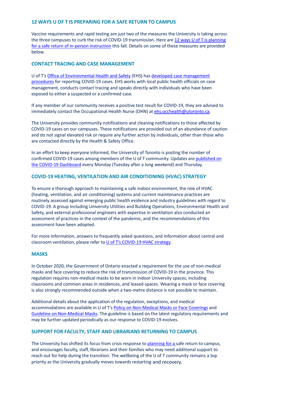#### **12 WAYS U OF T IS PREPARING FOR A SAFE RETURN TO CAMPUS**

Vaccine requirements and rapid testing are just two of the measures the University is taking across the three campuses to curb the risk of COVID-19 transmission. Here are 12 ways U of T is [planning](http://www.governingcouncil.utoronto.ca/Assets/Governing+Council+Digital+Assets/Policies/PDF/ppnov022006.pdf) for a safe return of in-person [instruction](http://www.governingcouncil.utoronto.ca/Assets/Governing+Council+Digital+Assets/Policies/PDF/ppnov022006.pdf) this fall. Details on some of these measures are provided below.

#### **CONTACT TRACING AND CASE MANAGEMENT**

U of T's Office of [Environmental](https://www.utfa.org/sites/default/files/UTFA-MoA-2016.pdf) Health and Safety (EHS) has developed case [management](https://ehs.utoronto.ca/wp-content/uploads/2020/10/UofT-COVID-19-Case-Management-Process.pdf) [procedures](https://ehs.utoronto.ca/wp-content/uploads/2020/10/UofT-COVID-19-Case-Management-Process.pdf) for reporting COVID-19 cases. EHS works with local public health officials on case management, conducts contact tracing and speaks directly with individuals who have been exposed to either a suspected or a confirmed case.

If any member of our community receives a positive test result for COVID-19, they are advised to immediately contact the Occupational Health Nurse (OHN) at [ehs.occhealth@utoronto.ca.](http://www.governingcouncil.utoronto.ca/Assets/Governing+Council+Digital+Assets/Policies/PDF/violence.pdf)

The University provides community notifications and cleaning notifications to those affected by COVID-19 cases on our campuses. These notifications are provided out of an abundance of caution and do not signal elevated risk or require any further action by individuals, other than those who are contacted directly by the Health & Safety Office.

In an effort to keep everyone informed, the University of Toronto is posting the number of confirmed COVID-19 cases among members of the U of T community. Updates are [published](http://www.governingcouncil.utoronto.ca/Assets/Governing+Council+Digital+Assets/Policies/PDF/ppmay281992.pdf) on the COVID-19 [Dashboard](http://www.governingcouncil.utoronto.ca/Assets/Governing+Council+Digital+Assets/Policies/PDF/ppmay281992.pdf) every Monday (Tuesday after a long weekend) and Thursday.

#### **COVID-19 HEATING, VENTILATION AND AIR CONDITIONING (HVAC) STRATEGY**

To ensure a thorough approach to maintaining a safe indoor environment, the role of HVAC (heating, ventilation, and air conditioning) systems and current maintenance practices are routinely assessed against emerging public health evidence and industry guidelines with regard to COVID-19. A group including University Utilities and Building Operations, Environmental Health and Safety, and external professional engineers with expertise in ventilation also conducted an assessment of practices in the context of the pandemic, and the recommendations of this assessment have been adopted.

For more information, answers to frequently asked questions, and information about central and classroom ventilation, please refer to U of T's [COVID-19](https://thisisourshot.ca/) HVAC strategy.

#### **MASKS**

In October 2020, the Government of Ontario enacted a requirement for the use of non-medical masks and face covering to reduce the risk of transmission of COVID-19 in the province. This regulation requires non-medical masks to be worn in indoor University spaces, including classrooms and common areas in residences, and leased spaces. Wearing a mask or face covering is also strongly recommended outside when a two-metre distance is not possible to maintain.

Additional details about the application of the regulation, exceptions, and medical accommodations are available in U of T's Policy on [Non-Medical](https://www.utm.utoronto.ca/campus-police/) Masks or Face Coverings and Guideline on [Non-Medical](https://www.provost.utoronto.ca/planning-policy/joint-provostial-and-human-resources-guideline-on-nonmedical-masks-at-the-university-of-toronto/) Masks. The guideline is based on the latest regulatory requirements and may be further updated periodically as our response to COVID-19 evolves.

#### **SUPPORT FOR FACULTY, STAFF AND LIBRARIANS RETURNING TO CAMPUS**

The University has shifted its focus from crisis response to [planning](https://www.utoronto.ca/utogether/safe-return) for a safe return to campus, and encourages faculty, staff, librarians and their families who may need additional support to reach out for help during the transition. The wellbeing of the U of T community remains a top priority as the University gradually moves towards restarting and recovery.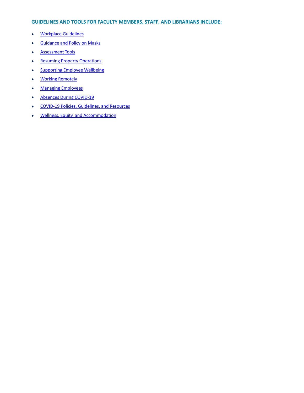#### **GUIDELINES AND TOOLS FOR FACULTY MEMBERS, STAFF, AND LIBRARIANS INCLUDE:**

- [Workplace](http://www.governingcouncil.lamp4.utoronto.ca/wp-content/uploads/2016/12/p1215-poshsv-2016-2017pol.pdf#gwg) Guidelines
- [Guidance](https://utsc.utoronto.ca/police/#masks) and Policy on Masks
- [Assessment](https://www.utoronto.ca/utogether/rapid-screening#gat) Tools
- Resuming Property [Operations](https://hrandequity.utoronto.ca/covid-19/covid-19-policies-guidelines-and-resources/#ops)
- [Supporting](https://hrandequity.utoronto.ca/covid-19/returning-to-campus/#hwb) Employee Wellbeing
- Working [Remotely](https://www.utoronto.ca/utogether/ucheck)
- Managing [Employees](https://hrandequity.utoronto.ca/wp-content/uploads/2021/08/COMOH_Vaccine_Policies_at_Ontario_Universities_and_Col.pdf)
- Absences During [COVID-19](mailto:ehs.occhealth@utoronto.ca)
- COVID-19 Policies, [Guidelines,](https://www.utoronto.ca/news/one-university-three-clinics-how-u-t-supported-canada-s-mass-vaccination-effort) and Resources
- Wellness, Equity, and [Accommodation](https://hrandequity.utoronto.ca/memos/vaccination-rapid-screening-fall-2021/)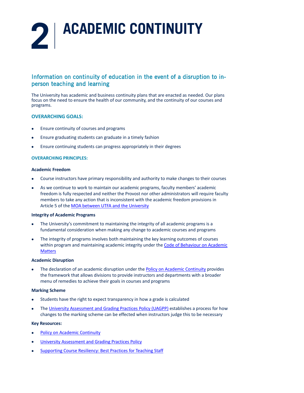

## Information on continuity of education in the event of a disruption to inperson teaching and learning

The University has academic and business continuity plans that are enacted as needed. Our plans focus on the need to ensure the health of our community, and the continuity of our courses and programs.

#### **OVERARCHING GOALS:**

- Ensure continuity of courses and programs
- Ensure graduating students can graduate in a timely fashion
- Ensure continuing students can progress appropriately in their degrees

#### **OVERARCHING PRINCIPLES:**

#### **Academic Freedom**

- Course instructors have primary responsibility and authority to make changes to their courses
- As we continue to work to maintain our academic programs, faculty members' academic freedom is fully respected and neither the Provost nor other administrators will require faculty members to take any action that is inconsistent with the academic freedom provisions in Article 5 of the MOA between UTFA and the [University](https://www.utoronto.ca/utogether/vaccines)

#### **Integrity of Academic Programs**

- The University's commitment to maintaining the integrity of all academic programs is a fundamental consideration when making any change to academic courses and programs
- The integrity of programs involves both maintaining the key learning outcomes of courses within program and maintaining academic integrity under the Code of [Behaviour](http://www.governingcouncil.utoronto.ca/Assets/Governing+Council+Digital+Assets/Policies/PDF/ppjul012002.pdf) on Academic **[Matters](http://www.governingcouncil.utoronto.ca/Assets/Governing+Council+Digital+Assets/Policies/PDF/ppjul012002.pdf)**

#### **Academic Disruption**

• The declaration of an academic disruption under the **Policy on Academic [Continuity](https://www.fs.utoronto.ca/services/hvac-mechanical-utilities/covid-hvac-strategy/central-ventilation/)** provides the framework that allows divisions to provide instructors and departments with a broader menu of remedies to achieve their goals in courses and programs

#### **Marking Scheme**

- Students have the right to expect transparency in how a grade is calculated
- The University [Assessment](https://www.communitysafety.utoronto.ca/) and Grading Practices Policy (UAGPP) establishes a process for how changes to the marking scheme can be effected when instructors judge this to be necessary

#### **Key Resources:**

- Policy on Academic [Continuity](https://governingcouncil.utoronto.ca/secretariat/policies/academic-continuity-university-toronto-policy-january-26-2012)
- University [Assessment](https://governingcouncil.utoronto.ca/secretariat/policies/grading-practices-policy-university-assessment-and-january-26-2012) and Grading Practices Policy
- [Supporting](https://hrandequity.utoronto.ca/covid-19/managing-employees/) Course Resiliency: Best Practices for Teaching Staff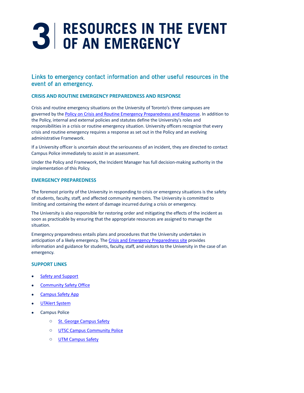# **3 RESOURCES IN THE EVENT OF AN EMERGENCY**

## Links to emergency contact information and other useful resources in the event of an emergency.

#### **CRISIS AND ROUTINE EMERGENCY PREPAREDNESS AND RESPONSE**

Crisis and routine emergency situations on the University of Toronto's three campuses are governed by the Policy on Crisis and Routine Emergency [Preparedness](https://hrandequity.utoronto.ca/covid-19/returning-to-campus/) and Response. In addition to the Policy, internal and external policies and statutes define the University's roles and responsibilities in a crisis or routine emergency situation. University officers recognize that every crisis and routine emergency requires a response as set out in the Policy and an evolving administrative Framework.

If a University officer is uncertain about the seriousness of an incident, they are directed to contact Campus Police immediately to assist in an assessment.

Under the Policy and Framework, the Incident Manager has full decision-making authority in the implementation of this Policy.

#### **EMERGENCY PREPAREDNESS**

The foremost priority of the University in responding to crisis or emergency situations is the safety of students, faculty, staff, and affected community members. The University is committed to limiting and containing the extent of damage incurred during a crisis or emergency.

The University is also responsible for restoring order and mitigating the effects of the incident as soon as practicable by ensuring that the appropriate resources are assigned to manage the situation.

Emergency preparedness entails plans and procedures that the University undertakes in anticipation of a likely emergency. The Crisis and Emergency [Preparedness](https://www.campussafety.utoronto.ca/) site provides information and guidance for students, faculty, staff, and visitors to the University in the case of an emergency.

#### **SUPPORT LINKS**

- **Safety and [Support](https://hrandequity.utoronto.ca/covid-19/returning-to-campus/)**
- **[Community](https://governingcouncil.utoronto.ca/secretariat/policies/non-medical-masks-or-face-coverings-policy) Safety Office**
- **[Campus](https://www.vpacademic.utoronto.ca/wp-content/uploads/sites/225/2020/01/course-resiliency-best-practice-2020.pdf) Safety App**
- [UTAlert](https://hrandequity.utoronto.ca/covid-19/returning-to-campus/) System
- Campus Police
	- o St. George [Campus](https://www.utoronto.ca/utogether2020/covid19-dashboard) Safety
	- o UTSC Campus [Community](https://www.utoronto.ca/utogether/faqs) Police
	- o UTM [Campus](https://governingcouncil.utoronto.ca/secretariat/policies/crisis-and-routine-emergency-preparedness-and-response-policy-june-27-2018) Safety